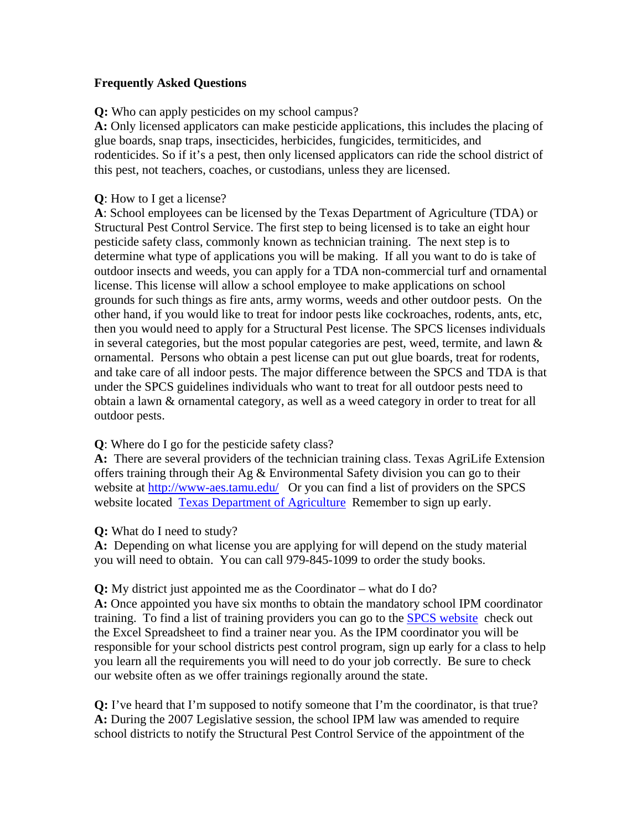## **Frequently Asked Questions**

**Q:** Who can apply pesticides on my school campus?

**A:** Only licensed applicators can make pesticide applications, this includes the placing of glue boards, snap traps, insecticides, herbicides, fungicides, termiticides, and rodenticides. So if it's a pest, then only licensed applicators can ride the school district of this pest, not teachers, coaches, or custodians, unless they are licensed.

## **Q**: How to I get a license?

**A**: School employees can be licensed by the Texas Department of Agriculture (TDA) or Structural Pest Control Service. The first step to being licensed is to take an eight hour pesticide safety class, commonly known as technician training. The next step is to determine what type of applications you will be making. If all you want to do is take of outdoor insects and weeds, you can apply for a TDA non-commercial turf and ornamental license. This license will allow a school employee to make applications on school grounds for such things as fire ants, army worms, weeds and other outdoor pests. On the other hand, if you would like to treat for indoor pests like cockroaches, rodents, ants, etc, then you would need to apply for a Structural Pest license. The SPCS licenses individuals in several categories, but the most popular categories are pest, weed, termite, and lawn  $\&$ ornamental. Persons who obtain a pest license can put out glue boards, treat for rodents, and take care of all indoor pests. The major difference between the SPCS and TDA is that under the SPCS guidelines individuals who want to treat for all outdoor pests need to obtain a lawn & ornamental category, as well as a weed category in order to treat for all outdoor pests.

# **Q**: Where do I go for the pesticide safety class?

**A:** There are several providers of the technician training class. Texas AgriLife Extension offers training through their Ag & Environmental Safety division you can go to their website at http://www-aes.tamu.edu/ Or you can find a list of providers on the SPCS website located Texas Department of Agriculture Remember to sign up early.

# **Q:** What do I need to study?

**A:** Depending on what license you are applying for will depend on the study material you will need to obtain. You can call 979-845-1099 to order the study books.

#### **Q:** My district just appointed me as the Coordinator – what do I do?

**A:** Once appointed you have six months to obtain the mandatory school IPM coordinator training. To find a list of training providers you can go to the SPCS website check out the Excel Spreadsheet to find a trainer near you. As the IPM coordinator you will be responsible for your school districts pest control program, sign up early for a class to help you learn all the requirements you will need to do your job correctly. Be sure to check our website often as we offer trainings regionally around the state.

**Q:** I've heard that I'm supposed to notify someone that I'm the coordinator, is that true? **A:** During the 2007 Legislative session, the school IPM law was amended to require school districts to notify the Structural Pest Control Service of the appointment of the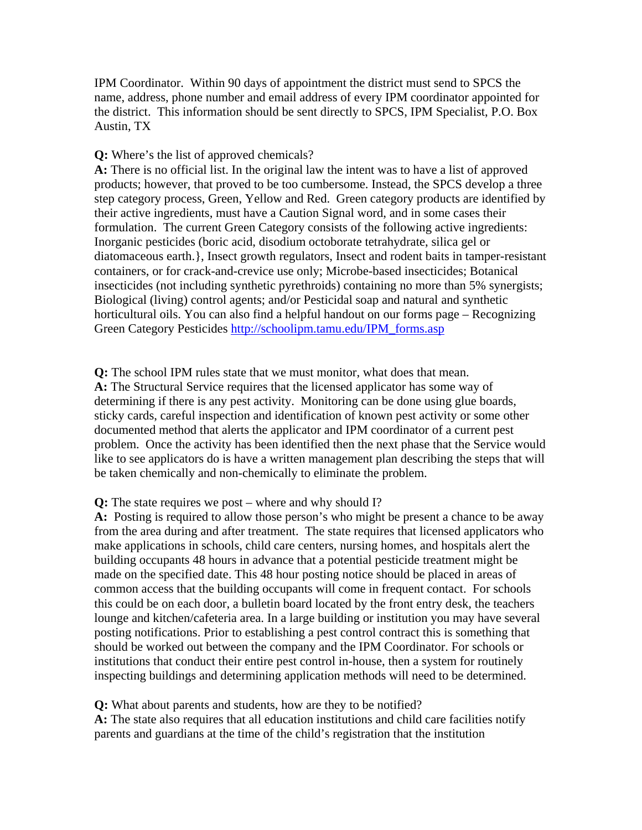IPM Coordinator. Within 90 days of appointment the district must send to SPCS the name, address, phone number and email address of every IPM coordinator appointed for the district. This information should be sent directly to SPCS, IPM Specialist, P.O. Box Austin, TX

## **Q:** Where's the list of approved chemicals?

**A:** There is no official list. In the original law the intent was to have a list of approved products; however, that proved to be too cumbersome. Instead, the SPCS develop a three step category process, Green, Yellow and Red. Green category products are identified by their active ingredients, must have a Caution Signal word, and in some cases their formulation. The current Green Category consists of the following active ingredients: Inorganic pesticides (boric acid, disodium octoborate tetrahydrate, silica gel or diatomaceous earth.}, Insect growth regulators, Insect and rodent baits in tamper-resistant containers, or for crack-and-crevice use only; Microbe-based insecticides; Botanical insecticides (not including synthetic pyrethroids) containing no more than 5% synergists; Biological (living) control agents; and/or Pesticidal soap and natural and synthetic horticultural oils. You can also find a helpful handout on our forms page – Recognizing Green Category Pesticides http://schoolipm.tamu.edu/IPM\_forms.asp

**Q:** The school IPM rules state that we must monitor, what does that mean. **A:** The Structural Service requires that the licensed applicator has some way of determining if there is any pest activity. Monitoring can be done using glue boards, sticky cards, careful inspection and identification of known pest activity or some other documented method that alerts the applicator and IPM coordinator of a current pest problem. Once the activity has been identified then the next phase that the Service would like to see applicators do is have a written management plan describing the steps that will be taken chemically and non-chemically to eliminate the problem.

# **Q:** The state requires we post – where and why should I?

**A:** Posting is required to allow those person's who might be present a chance to be away from the area during and after treatment. The state requires that licensed applicators who make applications in schools, child care centers, nursing homes, and hospitals alert the building occupants 48 hours in advance that a potential pesticide treatment might be made on the specified date. This 48 hour posting notice should be placed in areas of common access that the building occupants will come in frequent contact. For schools this could be on each door, a bulletin board located by the front entry desk, the teachers lounge and kitchen/cafeteria area. In a large building or institution you may have several posting notifications. Prior to establishing a pest control contract this is something that should be worked out between the company and the IPM Coordinator. For schools or institutions that conduct their entire pest control in-house, then a system for routinely inspecting buildings and determining application methods will need to be determined.

# **Q:** What about parents and students, how are they to be notified?

**A:** The state also requires that all education institutions and child care facilities notify parents and guardians at the time of the child's registration that the institution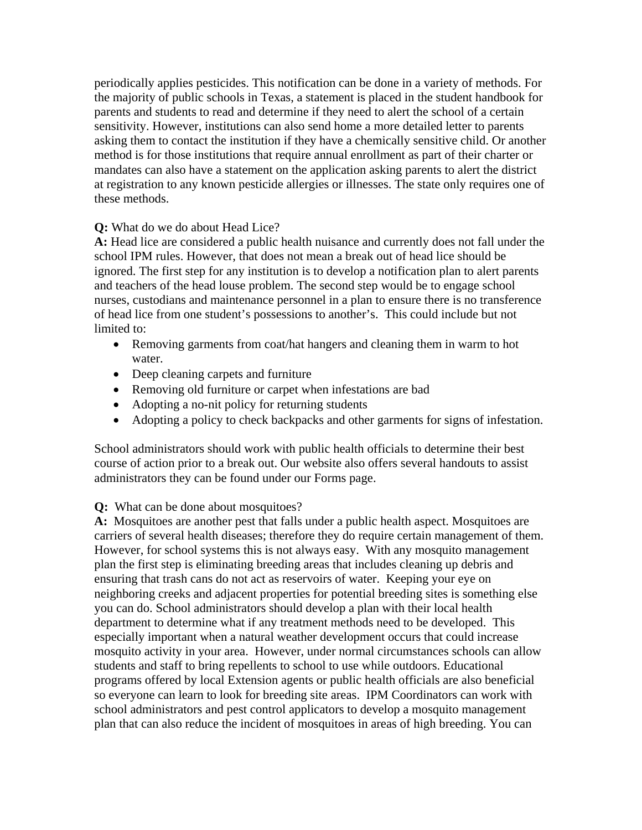periodically applies pesticides. This notification can be done in a variety of methods. For the majority of public schools in Texas, a statement is placed in the student handbook for parents and students to read and determine if they need to alert the school of a certain sensitivity. However, institutions can also send home a more detailed letter to parents asking them to contact the institution if they have a chemically sensitive child. Or another method is for those institutions that require annual enrollment as part of their charter or mandates can also have a statement on the application asking parents to alert the district at registration to any known pesticide allergies or illnesses. The state only requires one of these methods.

# **Q:** What do we do about Head Lice?

**A:** Head lice are considered a public health nuisance and currently does not fall under the school IPM rules. However, that does not mean a break out of head lice should be ignored. The first step for any institution is to develop a notification plan to alert parents and teachers of the head louse problem. The second step would be to engage school nurses, custodians and maintenance personnel in a plan to ensure there is no transference of head lice from one student's possessions to another's. This could include but not limited to:

- Removing garments from coat/hat hangers and cleaning them in warm to hot water.
- Deep cleaning carpets and furniture
- Removing old furniture or carpet when infestations are bad
- Adopting a no-nit policy for returning students
- Adopting a policy to check backpacks and other garments for signs of infestation.

School administrators should work with public health officials to determine their best course of action prior to a break out. Our website also offers several handouts to assist administrators they can be found under our Forms page.

**Q:** What can be done about mosquitoes?

**A:** Mosquitoes are another pest that falls under a public health aspect. Mosquitoes are carriers of several health diseases; therefore they do require certain management of them. However, for school systems this is not always easy. With any mosquito management plan the first step is eliminating breeding areas that includes cleaning up debris and ensuring that trash cans do not act as reservoirs of water. Keeping your eye on neighboring creeks and adjacent properties for potential breeding sites is something else you can do. School administrators should develop a plan with their local health department to determine what if any treatment methods need to be developed. This especially important when a natural weather development occurs that could increase mosquito activity in your area. However, under normal circumstances schools can allow students and staff to bring repellents to school to use while outdoors. Educational programs offered by local Extension agents or public health officials are also beneficial so everyone can learn to look for breeding site areas. IPM Coordinators can work with school administrators and pest control applicators to develop a mosquito management plan that can also reduce the incident of mosquitoes in areas of high breeding. You can